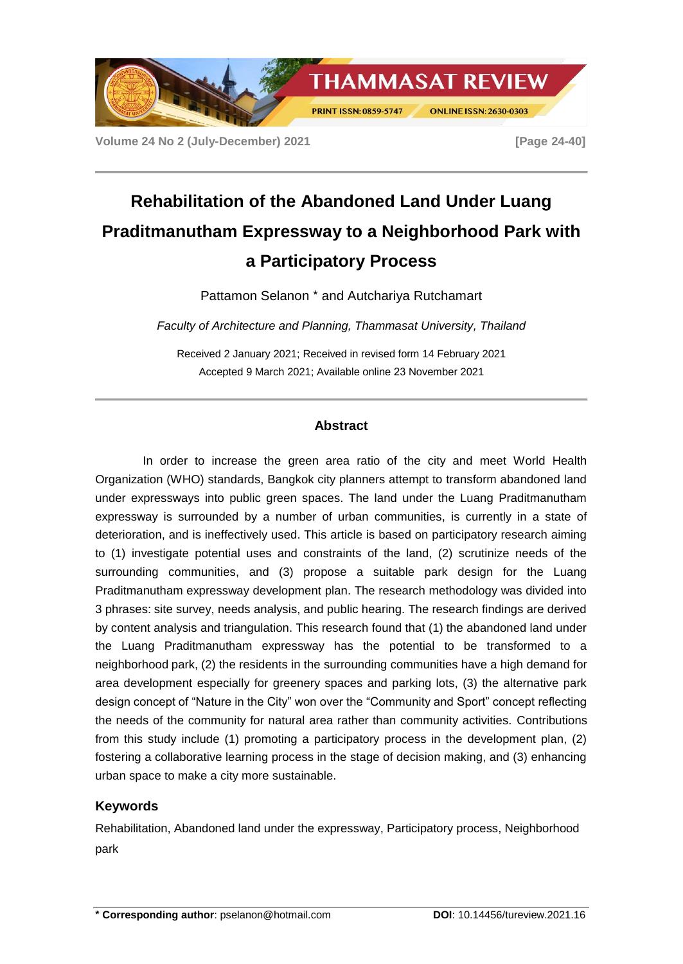

**Volume 24 No 2 (July-December) 2021 [Page 24-40]**

# **Rehabilitation of the Abandoned Land Under Luang Praditmanutham Expressway to a Neighborhood Park with a Participatory Process**

Pattamon Selanon \* and Autchariya Rutchamart

*Faculty of Architecture and Planning, Thammasat University, Thailand*

Received 2 January 2021; Received in revised form 14 February 2021 Accepted 9 March 2021; Available online 23 November 2021

# **Abstract**

In order to increase the green area ratio of the city and meet World Health Organization (WHO) standards, Bangkok city planners attempt to transform abandoned land under expressways into public green spaces. The land under the Luang Praditmanutham expressway is surrounded by a number of urban communities, is currently in a state of deterioration, and is ineffectively used. This article is based on participatory research aiming to (1) investigate potential uses and constraints of the land, (2) scrutinize needs of the surrounding communities, and (3) propose a suitable park design for the Luang Praditmanutham expressway development plan. The research methodology was divided into 3 phrases: site survey, needs analysis, and public hearing. The research findings are derived by content analysis and triangulation. This research found that (1) the abandoned land under the Luang Praditmanutham expressway has the potential to be transformed to a neighborhood park, (2) the residents in the surrounding communities have a high demand for area development especially for greenery spaces and parking lots, (3) the alternative park design concept of "Nature in the City" won over the "Community and Sport" concept reflecting the needs of the community for natural area rather than community activities. Contributions from this study include (1) promoting a participatory process in the development plan, (2) fostering a collaborative learning process in the stage of decision making, and (3) enhancing urban space to make a city more sustainable.

# **Keywords**

Rehabilitation, Abandoned land under the expressway, Participatory process, Neighborhood park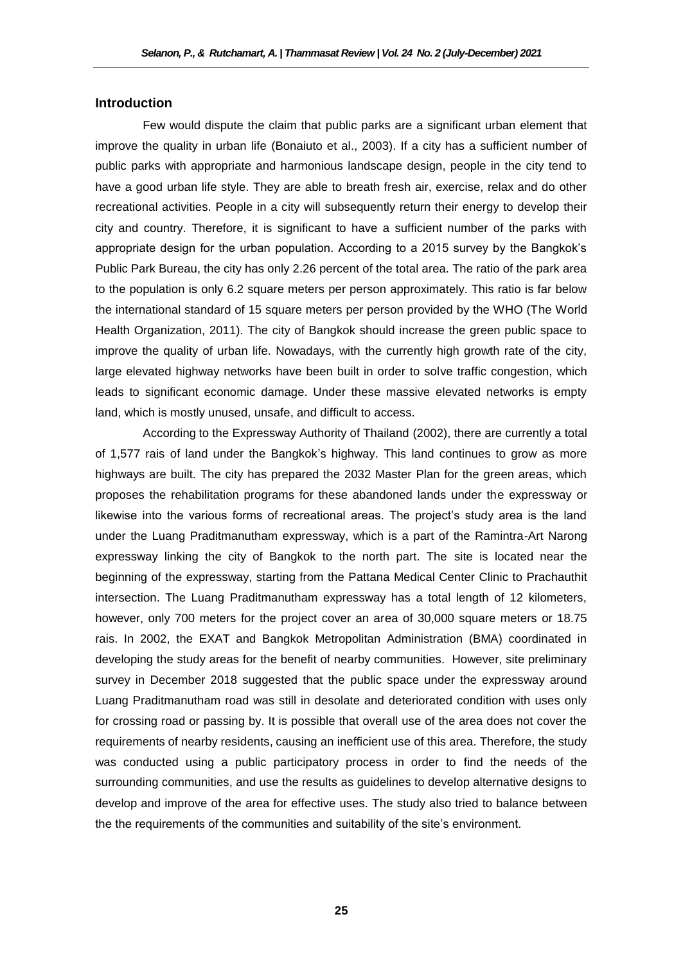# **Introduction**

Few would dispute the claim that public parks are a significant urban element that improve the quality in urban life (Bonaiuto et al., 2003). If a city has a sufficient number of public parks with appropriate and harmonious landscape design, people in the city tend to have a good urban life style. They are able to breath fresh air, exercise, relax and do other recreational activities. People in a city will subsequently return their energy to develop their city and country. Therefore, it is significant to have a sufficient number of the parks with appropriate design for the urban population. According to a 2015 survey by the Bangkok's Public Park Bureau, the city has only 2.26 percent of the total area. The ratio of the park area to the population is only 6.2 square meters per person approximately. This ratio is far below the international standard of 15 square meters per person provided by the WHO (The World Health Organization, 2011). The city of Bangkok should increase the green public space to improve the quality of urban life. Nowadays, with the currently high growth rate of the city, large elevated highway networks have been built in order to solve traffic congestion, which leads to significant economic damage. Under these massive elevated networks is empty land, which is mostly unused, unsafe, and difficult to access.

According to the Expressway Authority of Thailand (2002), there are currently a total of 1,577 rais of land under the Bangkok's highway. This land continues to grow as more highways are built. The city has prepared the 2032 Master Plan for the green areas, which proposes the rehabilitation programs for these abandoned lands under the expressway or likewise into the various forms of recreational areas. The project's study area is the land under the Luang Praditmanutham expressway, which is a part of the Ramintra-Art Narong expressway linking the city of Bangkok to the north part. The site is located near the beginning of the expressway, starting from the Pattana Medical Center Clinic to Prachauthit intersection. The Luang Praditmanutham expressway has a total length of 12 kilometers, however, only 700 meters for the project cover an area of 30,000 square meters or 18.75 rais. In 2002, the EXAT and Bangkok Metropolitan Administration (BMA) coordinated in developing the study areas for the benefit of nearby communities. However, site preliminary survey in December 2018 suggested that the public space under the expressway around Luang Praditmanutham road was still in desolate and deteriorated condition with uses only for crossing road or passing by. It is possible that overall use of the area does not cover the requirements of nearby residents, causing an inefficient use of this area. Therefore, the study was conducted using a public participatory process in order to find the needs of the surrounding communities, and use the results as guidelines to develop alternative designs to develop and improve of the area for effective uses. The study also tried to balance between the the requirements of the communities and suitability of the site's environment.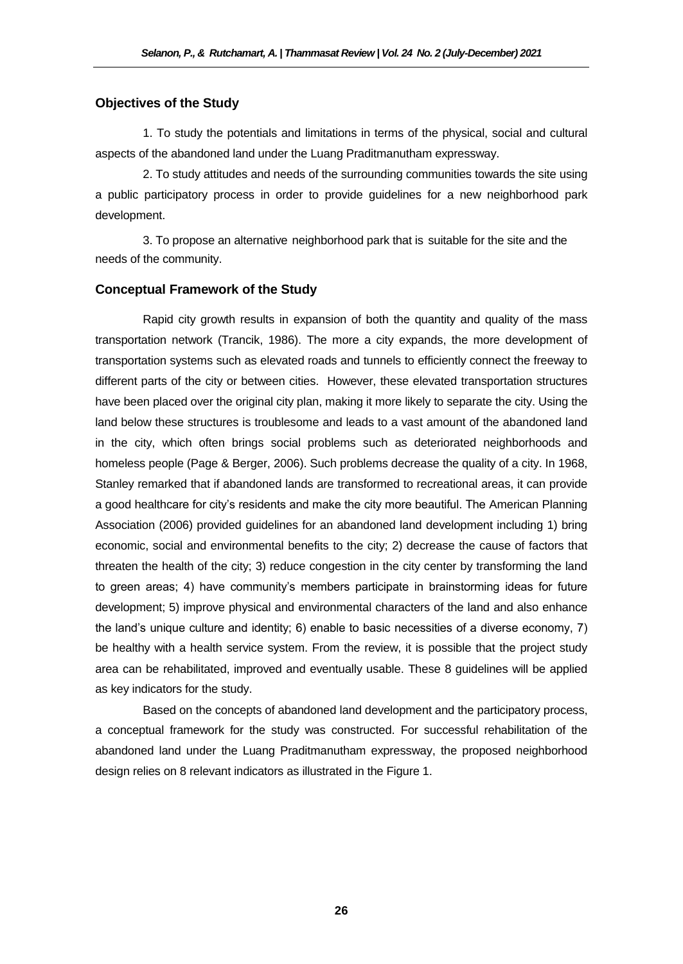# **Objectives of the Study**

1. To study the potentials and limitations in terms of the physical, social and cultural aspects of the abandoned land under the Luang Praditmanutham expressway.

2. To study attitudes and needs of the surrounding communities towards the site using a public participatory process in order to provide guidelines for a new neighborhood park development.

3. To propose an alternative neighborhood park that is suitable for the site and the needs of the community.

# **Conceptual Framework of the Study**

Rapid city growth results in expansion of both the quantity and quality of the mass transportation network (Trancik, 1986). The more a city expands, the more development of transportation systems such as elevated roads and tunnels to efficiently connect the freeway to different parts of the city or between cities. However, these elevated transportation structures have been placed over the original city plan, making it more likely to separate the city. Using the land below these structures is troublesome and leads to a vast amount of the abandoned land in the city, which often brings social problems such as deteriorated neighborhoods and homeless people (Page & Berger, 2006). Such problems decrease the quality of a city. In 1968, Stanley remarked that if abandoned lands are transformed to recreational areas, it can provide a good healthcare for city's residents and make the city more beautiful. The American Planning Association (2006) provided guidelines for an abandoned land development including 1) bring economic, social and environmental benefits to the city; 2) decrease the cause of factors that threaten the health of the city; 3) reduce congestion in the city center by transforming the land to green areas; 4) have community's members participate in brainstorming ideas for future development; 5) improve physical and environmental characters of the land and also enhance the land's unique culture and identity; 6) enable to basic necessities of a diverse economy, 7) be healthy with a health service system. From the review, it is possible that the project study area can be rehabilitated, improved and eventually usable. These 8 guidelines will be applied as key indicators for the study.

Based on the concepts of abandoned land development and the participatory process, a conceptual framework for the study was constructed. For successful rehabilitation of the abandoned land under the Luang Praditmanutham expressway, the proposed neighborhood design relies on 8 relevant indicators as illustrated in the Figure 1.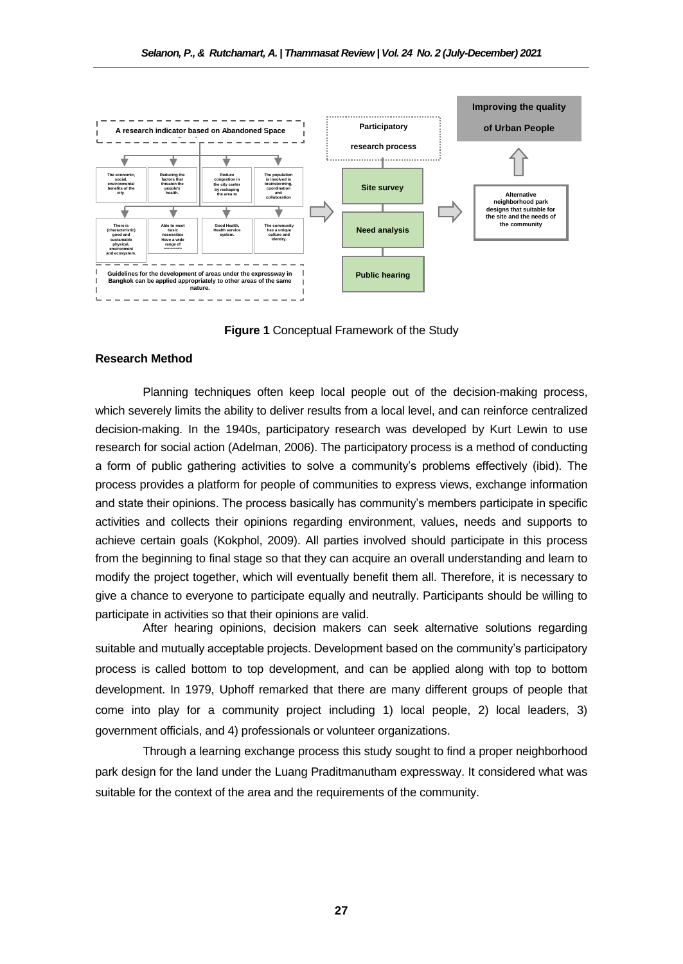

**Figure 1** Conceptual Framework of the Study

#### **Research Method**

Planning techniques often keep local people out of the decision-making process, which severely limits the ability to deliver results from a local level, and can reinforce centralized decision-making. In the 1940s, participatory research was developed by Kurt Lewin to use research for social action (Adelman, 2006). The participatory process is a method of conducting a form of public gathering activities to solve a community's problems effectively (ibid). The process provides a platform for people of communities to express views, exchange information and state their opinions. The process basically has community's members participate in specific activities and collects their opinions regarding environment, values, needs and supports to achieve certain goals (Kokphol, 2009). All parties involved should participate in this process from the beginning to final stage so that they can acquire an overall understanding and learn to modify the project together, which will eventually benefit them all. Therefore, it is necessary to give a chance to everyone to participate equally and neutrally. Participants should be willing to participate in activities so that their opinions are valid.

After hearing opinions, decision makers can seek alternative solutions regarding suitable and mutually acceptable projects. Development based on the community's participatory process is called bottom to top development, and can be applied along with top to bottom development. In 1979, Uphoff remarked that there are many different groups of people that come into play for a community project including 1) local people, 2) local leaders, 3) government officials, and 4) professionals or volunteer organizations.

Through a learning exchange process this study sought to find a proper neighborhood park design for the land under the Luang Praditmanutham expressway. It considered what was suitable for the context of the area and the requirements of the community.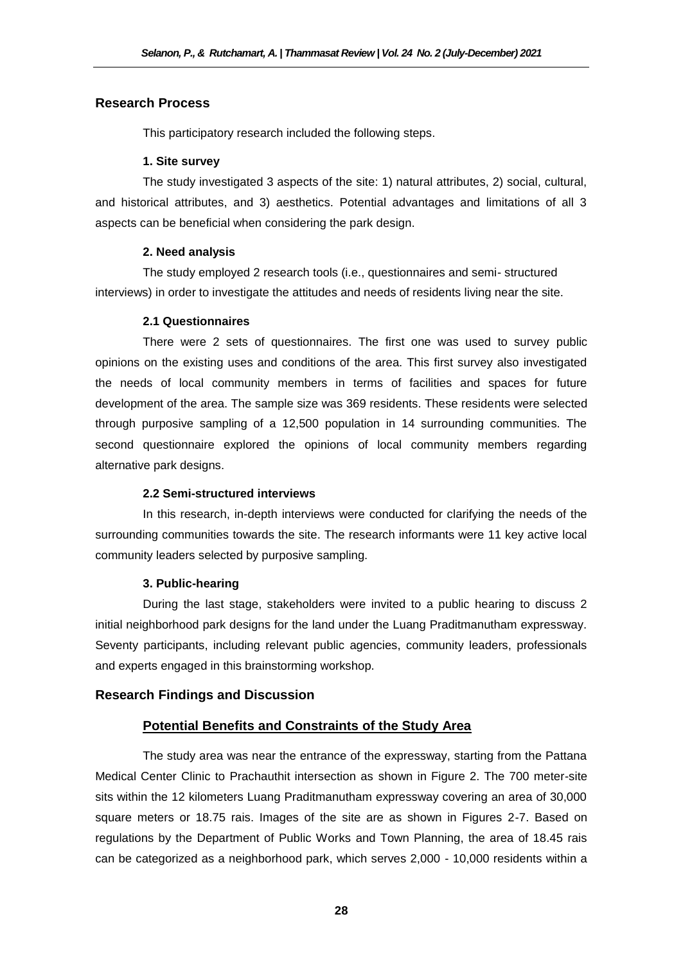# **Research Process**

This participatory research included the following steps.

#### **1. Site survey**

The study investigated 3 aspects of the site: 1) natural attributes, 2) social, cultural, and historical attributes, and 3) aesthetics. Potential advantages and limitations of all 3 aspects can be beneficial when considering the park design.

#### **2. Need analysis**

The study employed 2 research tools (i.e., questionnaires and semi- structured interviews) in order to investigate the attitudes and needs of residents living near the site.

#### **2.1 Questionnaires**

There were 2 sets of questionnaires. The first one was used to survey public opinions on the existing uses and conditions of the area. This first survey also investigated the needs of local community members in terms of facilities and spaces for future development of the area. The sample size was 369 residents. These residents were selected through purposive sampling of a 12,500 population in 14 surrounding communities. The second questionnaire explored the opinions of local community members regarding alternative park designs.

# **2.2 Semi-structured interviews**

In this research, in-depth interviews were conducted for clarifying the needs of the surrounding communities towards the site. The research informants were 11 key active local community leaders selected by purposive sampling.

# **3. Public-hearing**

During the last stage, stakeholders were invited to a public hearing to discuss 2 initial neighborhood park designs for the land under the Luang Praditmanutham expressway. Seventy participants, including relevant public agencies, community leaders, professionals and experts engaged in this brainstorming workshop.

# **Research Findings and Discussion**

# **Potential Benefits and Constraints of the Study Area**

The study area was near the entrance of the expressway, starting from the Pattana Medical Center Clinic to Prachauthit intersection as shown in Figure 2. The 700 meter-site sits within the 12 kilometers Luang Praditmanutham expressway covering an area of 30,000 square meters or 18.75 rais. Images of the site are as shown in Figures 2-7. Based on regulations by the Department of Public Works and Town Planning, the area of 18.45 rais can be categorized as a neighborhood park, which serves 2,000 - 10,000 residents within a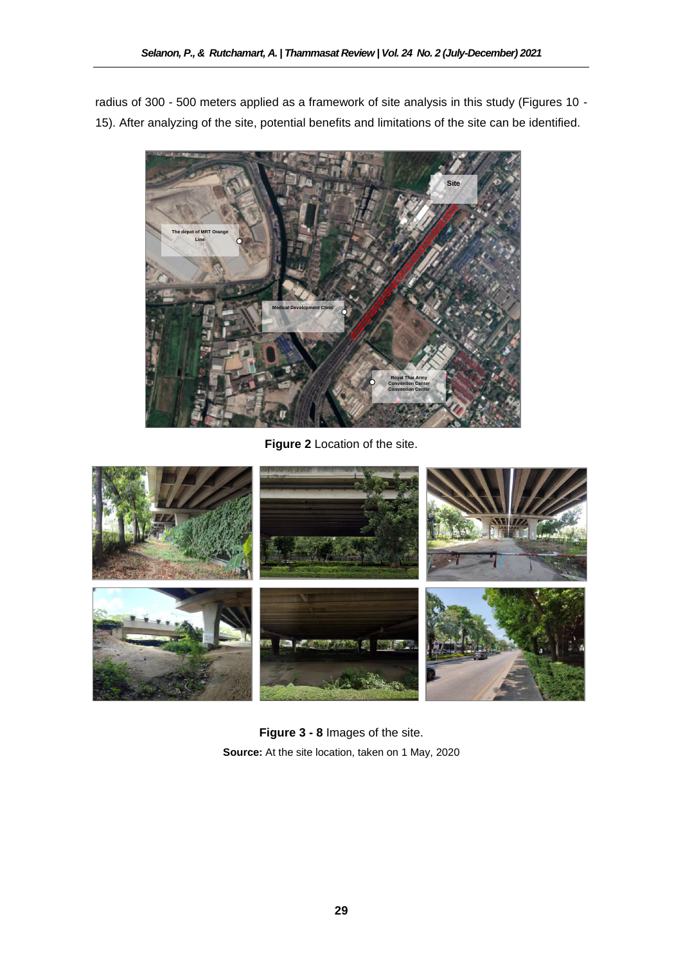radius of 300 - 500 meters applied as a framework of site analysis in this study (Figures 10 - 15). After analyzing of the site, potential benefits and limitations of the site can be identified.



**Figure 2** Location of the site.



**Figure 3 - 8** Images of the site. **Source:** At the site location, taken on 1 May, 2020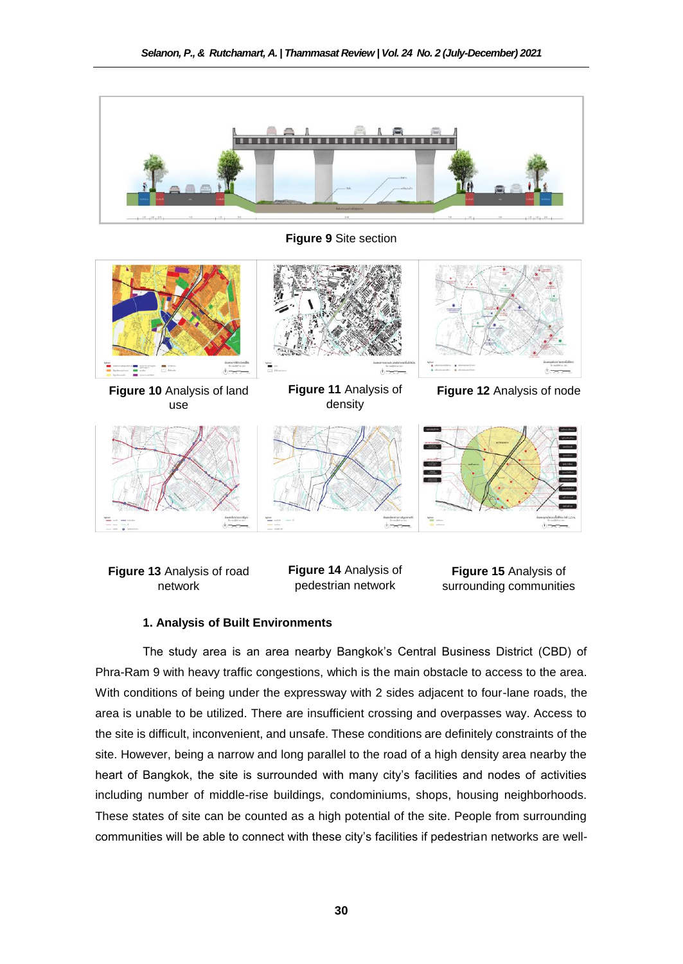

**Figure 9** Site section









**Figure 13** Analysis of road **Figure 1** network

**Figure 14** Analysis of pedestrian network

**Figure 15** Analysis of surrounding communities

#### **1. Analysis of Built Environments**

The study area is an area nearby Bangkok's Central Business District (CBD) of Phra-Ram 9 with heavy traffic congestions, which is the main obstacle to access to the area. With conditions of being under the expressway with 2 sides adjacent to four-lane roads, the area is unable to be utilized. There are insufficient crossing and overpasses way. Access to the site is difficult, inconvenient, and unsafe. These conditions are definitely constraints of the site. However, being a narrow and long parallel to the road of a high density area nearby the heart of Bangkok, the site is surrounded with many city's facilities and nodes of activities including number of middle-rise buildings, condominiums, shops, housing neighborhoods. These states of site can be counted as a high potential of the site. People from surrounding communities will be able to connect with these city's facilities if pedestrian networks are well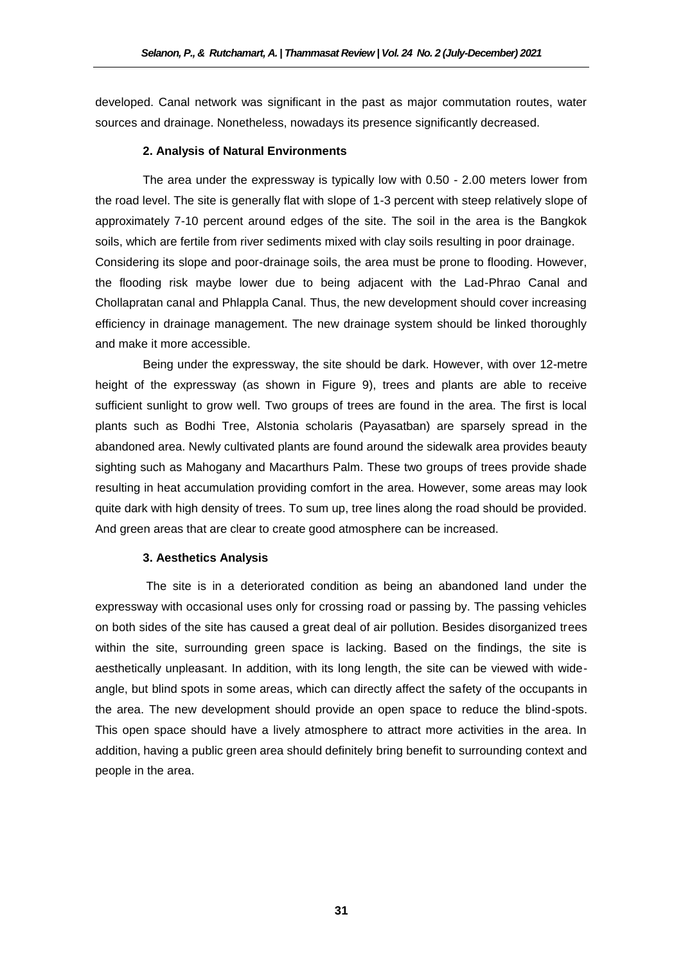developed. Canal network was significant in the past as major commutation routes, water sources and drainage. Nonetheless, nowadays its presence significantly decreased.

### **2. Analysis of Natural Environments**

The area under the expressway is typically low with 0.50 - 2.00 meters lower from the road level. The site is generally flat with slope of 1-3 percent with steep relatively slope of approximately 7-10 percent around edges of the site. The soil in the area is the Bangkok soils, which are fertile from river sediments mixed with clay soils resulting in poor drainage. Considering its slope and poor-drainage soils, the area must be prone to flooding. However, the flooding risk maybe lower due to being adjacent with the Lad-Phrao Canal and Chollapratan canal and Phlappla Canal. Thus, the new development should cover increasing efficiency in drainage management. The new drainage system should be linked thoroughly and make it more accessible.

Being under the expressway, the site should be dark. However, with over 12-metre height of the expressway (as shown in Figure 9), trees and plants are able to receive sufficient sunlight to grow well. Two groups of trees are found in the area. The first is local plants such as Bodhi Tree, Alstonia scholaris (Payasatban) are sparsely spread in the abandoned area. Newly cultivated plants are found around the sidewalk area provides beauty sighting such as Mahogany and Macarthurs Palm. These two groups of trees provide shade resulting in heat accumulation providing comfort in the area. However, some areas may look quite dark with high density of trees. To sum up, tree lines along the road should be provided. And green areas that are clear to create good atmosphere can be increased.

#### **3. Aesthetics Analysis**

The site is in a deteriorated condition as being an abandoned land under the expressway with occasional uses only for crossing road or passing by. The passing vehicles on both sides of the site has caused a great deal of air pollution. Besides disorganized trees within the site, surrounding green space is lacking. Based on the findings, the site is aesthetically unpleasant. In addition, with its long length, the site can be viewed with wideangle, but blind spots in some areas, which can directly affect the safety of the occupants in the area. The new development should provide an open space to reduce the blind-spots. This open space should have a lively atmosphere to attract more activities in the area. In addition, having a public green area should definitely bring benefit to surrounding context and people in the area.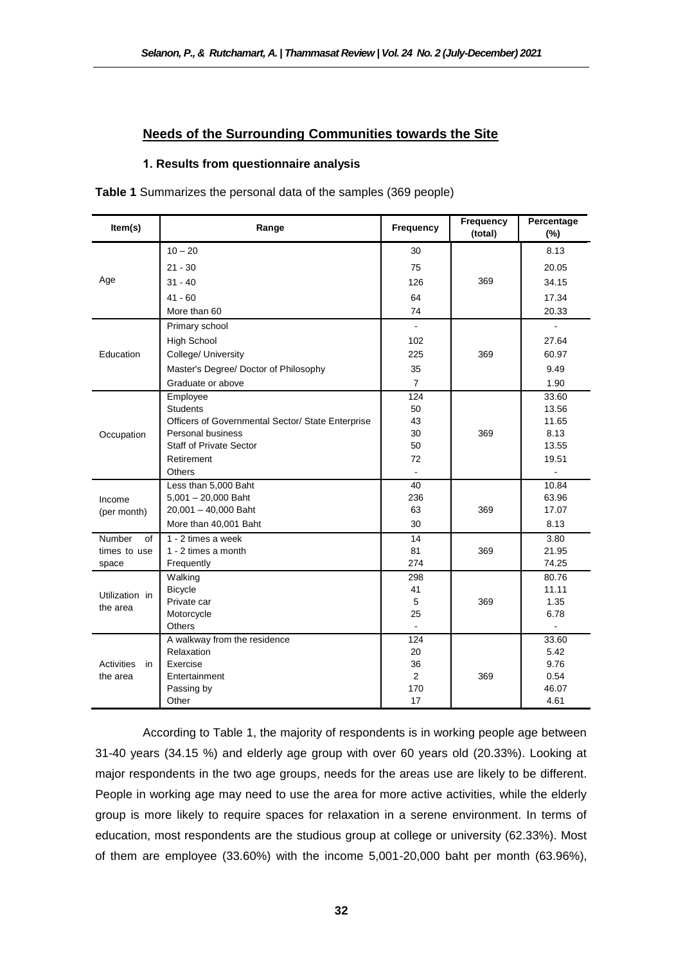# **Needs of the Surrounding Communities towards the Site**

# **1. Results from questionnaire analysis**

**Table 1** Summarizes the personal data of the samples (369 people)

| Item(s)                 | Range                                             | Frequency             | Frequency<br>(total) | Percentage<br>$(\%)$ |
|-------------------------|---------------------------------------------------|-----------------------|----------------------|----------------------|
|                         | $10 - 20$                                         | 30                    |                      | 8.13                 |
|                         | $21 - 30$                                         | 75                    |                      | 20.05                |
| Age                     | $31 - 40$                                         | 126                   | 369                  | 34.15                |
|                         | $41 - 60$                                         | 64                    |                      | 17.34                |
|                         | More than 60                                      | 74                    |                      | 20.33                |
|                         | Primary school                                    |                       |                      |                      |
|                         | <b>High School</b>                                | 102                   |                      | 27.64                |
| Education               | College/ University                               | 225                   | 369                  | 60.97                |
|                         | Master's Degree/ Doctor of Philosophy             | 35                    |                      | 9.49                 |
|                         | Graduate or above                                 | $\overline{7}$        |                      | 1.90                 |
|                         | Employee                                          | 124                   |                      | 33.60                |
|                         | <b>Students</b>                                   | 50                    |                      | 13.56                |
|                         | Officers of Governmental Sector/ State Enterprise | 43                    |                      | 11.65                |
| Occupation              | <b>Personal business</b>                          | 30                    | 369                  | 8.13                 |
|                         | <b>Staff of Private Sector</b>                    | 50                    |                      | 13.55                |
|                         | Retirement<br>Others                              | 72                    |                      | 19.51                |
|                         | Less than 5,000 Baht                              | 40                    |                      | 10.84                |
| Income<br>(per month)   | $5,001 - 20,000$ Baht                             | 236                   |                      | 63.96                |
|                         | 20,001 - 40,000 Baht                              | 63                    | 369                  | 17.07                |
|                         | More than 40,001 Baht                             | 30                    |                      | 8.13                 |
| <b>Number</b><br>of     | 1 - 2 times a week                                | 14                    |                      | 3.80                 |
| times to use            | 1 - 2 times a month                               | 81                    | 369                  | 21.95                |
| space                   | Frequently                                        | 274                   |                      | 74.25                |
|                         | Walking                                           | 298                   |                      | 80.76                |
| Utilization in          | <b>Bicycle</b>                                    | 41                    |                      | 11.11                |
| the area                | Private car                                       | 5                     | 369                  | 1.35                 |
|                         | Motorcycle                                        | 25                    |                      | 6.78                 |
|                         | Others                                            | ÷.                    |                      |                      |
|                         | A walkway from the residence                      | 124                   |                      | 33.60                |
|                         | Relaxation                                        | 20                    |                      | 5.42                 |
| <b>Activities</b><br>in | Exercise                                          | 36                    |                      | 9.76                 |
| the area                | Entertainment                                     | $\overline{2}$<br>170 | 369                  | 0.54<br>46.07        |
|                         | Passing by<br>Other                               | 17                    |                      | 4.61                 |
|                         |                                                   |                       |                      |                      |

According to Table 1, the majority of respondents is in working people age between 31-40 years (34.15 %) and elderly age group with over 60 years old (20.33%). Looking at major respondents in the two age groups, needs for the areas use are likely to be different. People in working age may need to use the area for more active activities, while the elderly group is more likely to require spaces for relaxation in a serene environment. In terms of education, most respondents are the studious group at college or university (62.33%). Most of them are employee (33.60%) with the income 5,001-20,000 baht per month (63.96%),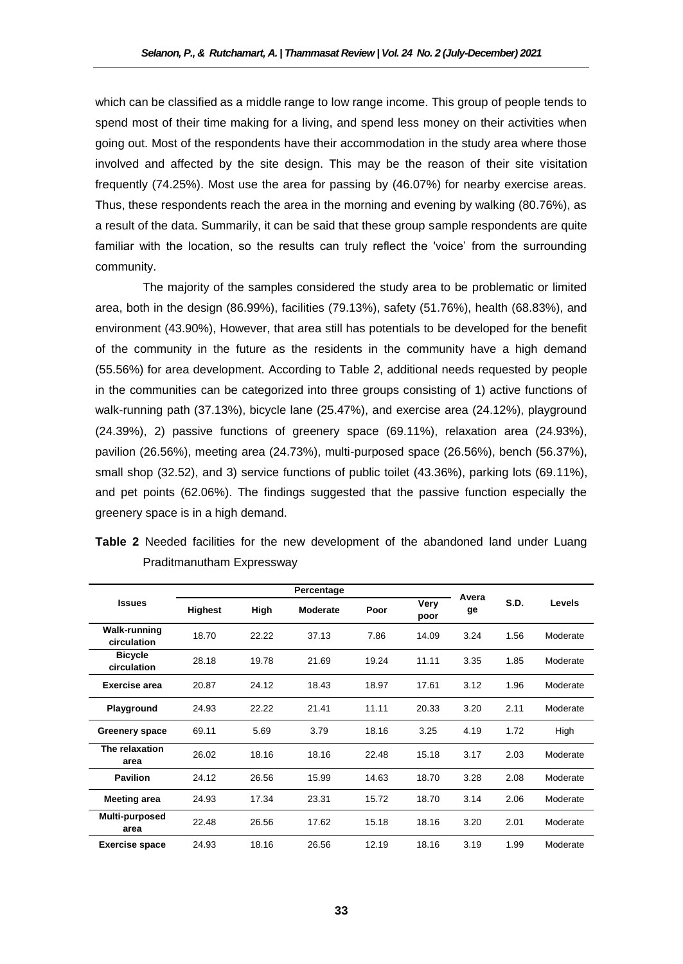which can be classified as a middle range to low range income. This group of people tends to spend most of their time making for a living, and spend less money on their activities when going out. Most of the respondents have their accommodation in the study area where those involved and affected by the site design. This may be the reason of their site visitation frequently (74.25%). Most use the area for passing by (46.07%) for nearby exercise areas. Thus, these respondents reach the area in the morning and evening by walking (80.76%), as a result of the data. Summarily, it can be said that these group sample respondents are quite familiar with the location, so the results can truly reflect the 'voice' from the surrounding community.

The majority of the samples considered the study area to be problematic or limited area, both in the design (86.99%), facilities (79.13%), safety (51.76%), health (68.83%), and environment (43.90%), However, that area still has potentials to be developed for the benefit of the community in the future as the residents in the community have a high demand (55.56%) for area development. According to Table *2*, additional needs requested by people in the communities can be categorized into three groups consisting of 1) active functions of walk-running path (37.13%), bicycle lane (25.47%), and exercise area (24.12%), playground (24.39%), 2) passive functions of greenery space (69.11%), relaxation area (24.93%), pavilion (26.56%), meeting area (24.73%), multi-purposed space (26.56%), bench (56.37%), small shop (32.52), and 3) service functions of public toilet (43.36%), parking lots (69.11%), and pet points (62.06%). The findings suggested that the passive function especially the greenery space is in a high demand.

|                                    |                |       | Avera    |       |              |      |      |          |
|------------------------------------|----------------|-------|----------|-------|--------------|------|------|----------|
| <b>Issues</b>                      | <b>Highest</b> | High  | Moderate | Poor  | Very<br>poor | ge   | S.D. | Levels   |
| <b>Walk-running</b><br>circulation | 18.70          | 22.22 | 37.13    | 7.86  | 14.09        | 3.24 | 1.56 | Moderate |
| <b>Bicycle</b><br>circulation      | 28.18          | 19.78 | 21.69    | 19.24 | 11.11        | 3.35 | 1.85 | Moderate |
| <b>Exercise area</b>               | 24.12<br>20.87 |       | 18.43    | 18.97 | 17.61        | 3.12 | 1.96 | Moderate |
| Playground                         | 24.93          | 22.22 | 21.41    | 11.11 | 20.33        | 3.20 | 2.11 | Moderate |
| Greenery space                     | 69.11<br>5.69  |       | 3.79     | 18.16 | 3.25         | 4.19 | 1.72 | High     |
| The relaxation<br>area             | 26.02          | 18.16 | 18.16    | 22.48 | 15.18        | 3.17 | 2.03 | Moderate |
| <b>Pavilion</b>                    | 24.12<br>26.56 |       | 15.99    | 14.63 | 18.70        | 3.28 | 2.08 | Moderate |
| <b>Meeting area</b>                | 24.93<br>17.34 |       | 23.31    | 15.72 | 18.70        | 3.14 | 2.06 | Moderate |
| Multi-purposed<br>area             | 22.48          | 26.56 | 17.62    | 15.18 | 18.16        | 3.20 | 2.01 | Moderate |
| <b>Exercise space</b>              | 24.93          | 18.16 | 26.56    | 12.19 | 18.16        | 3.19 | 1.99 | Moderate |

**Table 2** Needed facilities for the new development of the abandoned land under Luang Praditmanutham Expressway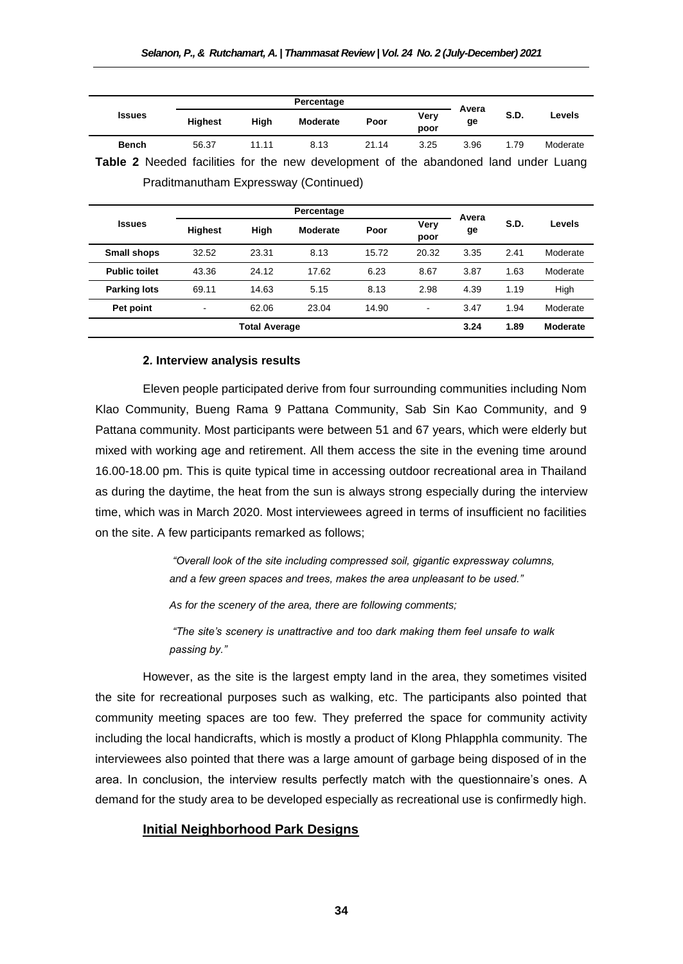|                                                                                            |                |                | Avera      |       |                          |      |      |               |  |  |
|--------------------------------------------------------------------------------------------|----------------|----------------|------------|-------|--------------------------|------|------|---------------|--|--|
| <b>Issues</b>                                                                              | <b>Highest</b> | High           | Moderate   | Poor  | Very<br>poor             | ge   | S.D. | <b>Levels</b> |  |  |
| <b>Bench</b>                                                                               | 56.37          | 11.11          | 8.13       | 21.14 | 3.25                     | 3.96 | 1.79 | Moderate      |  |  |
| <b>Table 2</b> Needed facilities for the new development of the abandoned land under Luang |                |                |            |       |                          |      |      |               |  |  |
| Praditmanutham Expressway (Continued)                                                      |                |                |            |       |                          |      |      |               |  |  |
|                                                                                            |                |                |            |       |                          |      |      |               |  |  |
|                                                                                            |                |                | Percentage |       | Avera                    |      |      |               |  |  |
| <b>Issues</b>                                                                              | <b>Highest</b> | High           | Moderate   | Poor  | Very<br>poor             | ge   | S.D. | Levels        |  |  |
| <b>Small shops</b>                                                                         | 32.52          | 23.31          | 8.13       | 15.72 | 20.32                    | 3.35 | 2.41 | Moderate      |  |  |
| <b>Public toilet</b>                                                                       | 43.36          | 24.12<br>17.62 |            | 6.23  | 8.67                     | 3.87 | 1.63 | Moderate      |  |  |
| <b>Parking lots</b>                                                                        | 69.11          | 14.63          | 5.15       | 8.13  | 2.98                     | 4.39 | 1.19 | High          |  |  |
| Pet point                                                                                  |                | 62.06          | 23.04      | 14.90 | $\overline{\phantom{a}}$ | 3.47 | 1.94 | Moderate      |  |  |
| <b>Total Average</b>                                                                       |                |                |            |       |                          |      | 1.89 | Moderate      |  |  |

#### **2***.* **Interview analysis results**

Eleven people participated derive from four surrounding communities including Nom Klao Community, Bueng Rama 9 Pattana Community, Sab Sin Kao Community, and 9 Pattana community. Most participants were between 51 and 67 years, which were elderly but mixed with working age and retirement. All them access the site in the evening time around 16.00-18.00 pm. This is quite typical time in accessing outdoor recreational area in Thailand as during the daytime, the heat from the sun is always strong especially during the interview time, which was in March 2020. Most interviewees agreed in terms of insufficient no facilities on the site. A few participants remarked as follows;

> *"Overall look of the site including compressed soil, gigantic expressway columns, and a few green spaces and trees, makes the area unpleasant to be used."*

*As for the scenery of the area, there are following comments;*

*"The site's scenery is unattractive and too dark making them feel unsafe to walk passing by."* 

However, as the site is the largest empty land in the area, they sometimes visited the site for recreational purposes such as walking, etc. The participants also pointed that community meeting spaces are too few. They preferred the space for community activity including the local handicrafts, which is mostly a product of Klong Phlapphla community. The interviewees also pointed that there was a large amount of garbage being disposed of in the area. In conclusion, the interview results perfectly match with the questionnaire's ones. A demand for the study area to be developed especially as recreational use is confirmedly high.

#### **Initial Neighborhood Park Designs**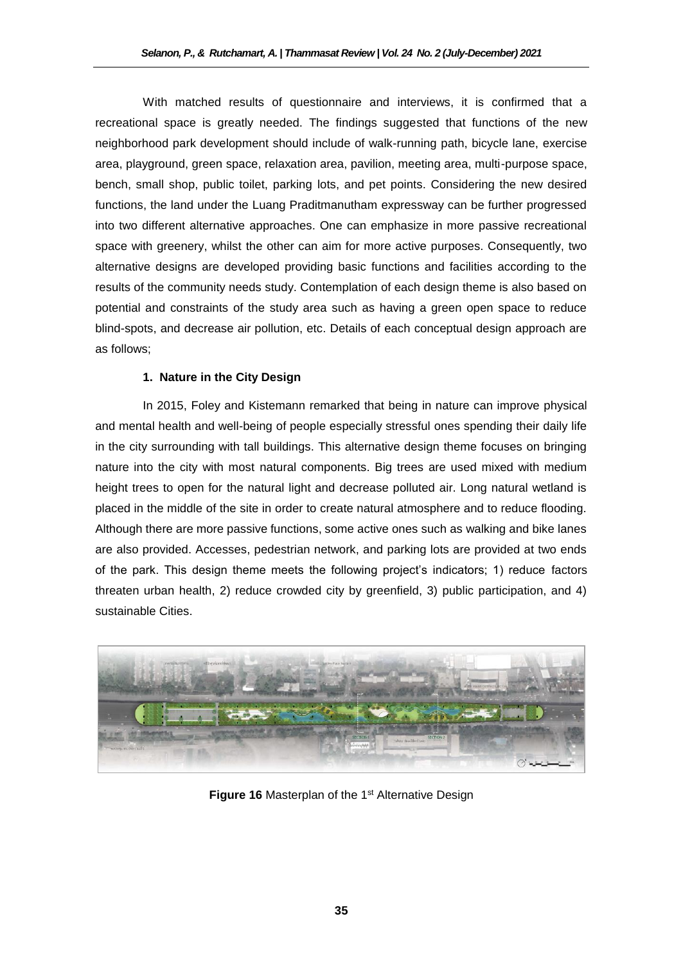With matched results of questionnaire and interviews, it is confirmed that a recreational space is greatly needed. The findings suggested that functions of the new neighborhood park development should include of walk-running path, bicycle lane, exercise area, playground, green space, relaxation area, pavilion, meeting area, multi-purpose space, bench, small shop, public toilet, parking lots, and pet points. Considering the new desired functions, the land under the Luang Praditmanutham expressway can be further progressed into two different alternative approaches. One can emphasize in more passive recreational space with greenery, whilst the other can aim for more active purposes. Consequently, two alternative designs are developed providing basic functions and facilities according to the results of the community needs study. Contemplation of each design theme is also based on potential and constraints of the study area such as having a green open space to reduce blind-spots, and decrease air pollution, etc. Details of each conceptual design approach are as follows;

# **1. Nature in the City Design**

In 2015, Foley and Kistemann remarked that being in nature can improve physical and mental health and well-being of people especially stressful ones spending their daily life in the city surrounding with tall buildings. This alternative design theme focuses on bringing nature into the city with most natural components. Big trees are used mixed with medium height trees to open for the natural light and decrease polluted air. Long natural wetland is placed in the middle of the site in order to create natural atmosphere and to reduce flooding. Although there are more passive functions, some active ones such as walking and bike lanes are also provided. Accesses, pedestrian network, and parking lots are provided at two ends of the park. This design theme meets the following project's indicators; 1) reduce factors threaten urban health, 2) reduce crowded city by greenfield, 3) public participation, and 4) sustainable Cities.



**Figure 16** Masterplan of the 1<sup>st</sup> Alternative Design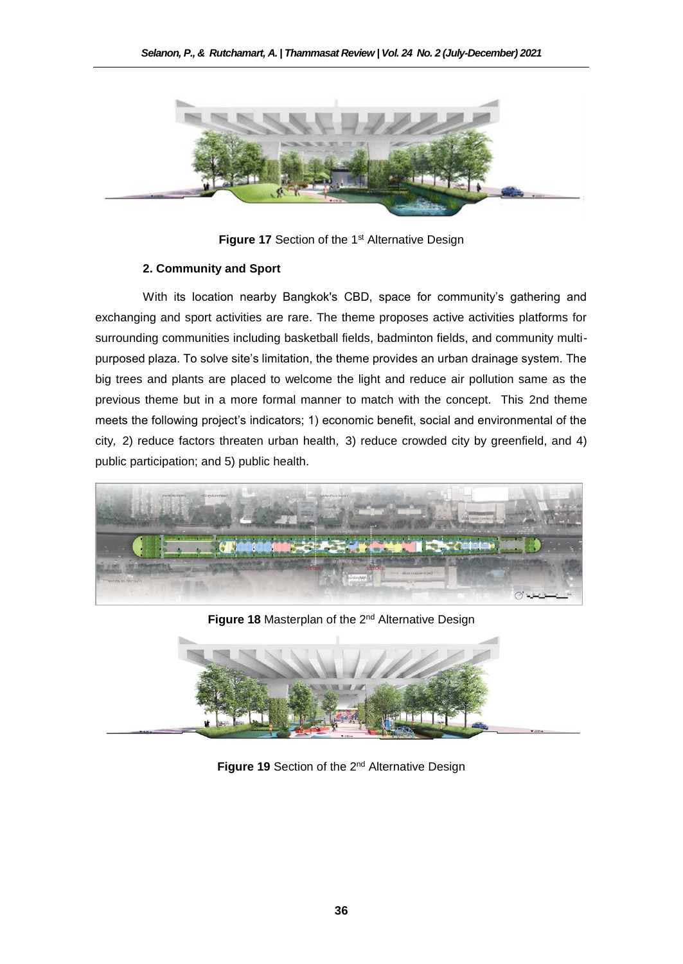

**Figure 17** Section of the 1<sup>st</sup> Alternative Design

# **2. Community and Sport**

With its location nearby Bangkok's CBD, space for community's gathering and exchanging and sport activities are rare. The theme proposes active activities platforms for surrounding communities including basketball fields, badminton fields, and community multipurposed plaza. To solve site's limitation, the theme provides an urban drainage system. The big trees and plants are placed to welcome the light and reduce air pollution same as the previous theme but in a more formal manner to match with the concept. This 2nd theme meets the following project's indicators; 1) economic benefit, social and environmental of the city*,* 2) reduce factors threaten urban health*,* 3) reduce crowded city by greenfield, and 4) public participation; and 5) public health.



**Figure 18** Masterplan of the 2nd Alternative Design



Figure 19 Section of the 2<sup>nd</sup> Alternative Design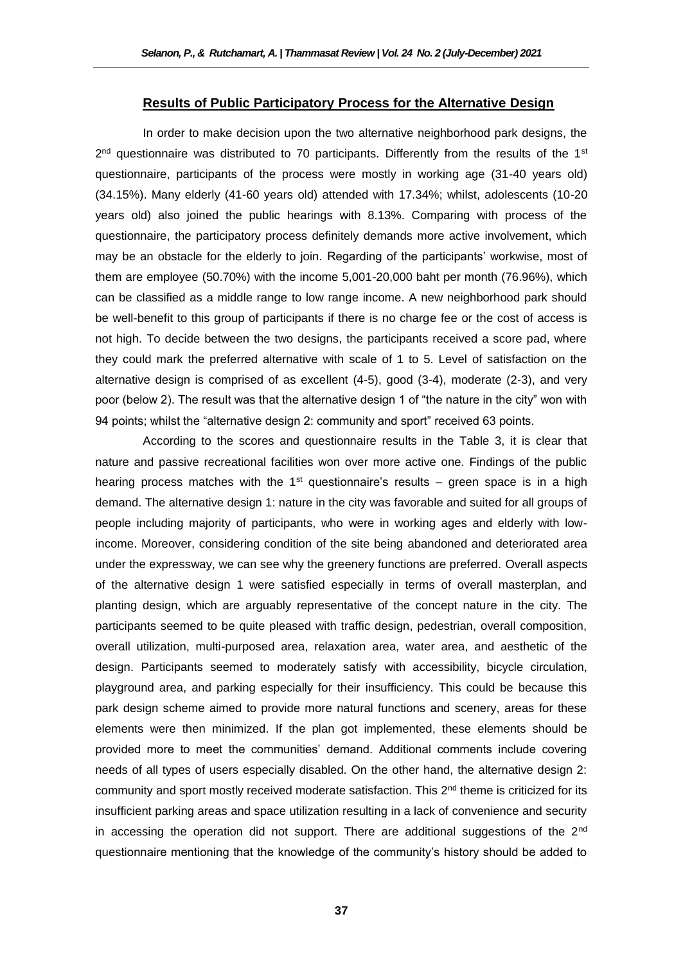### **Results of Public Participatory Process for the Alternative Design**

In order to make decision upon the two alternative neighborhood park designs, the 2<sup>nd</sup> questionnaire was distributed to 70 participants. Differently from the results of the 1<sup>st</sup> questionnaire, participants of the process were mostly in working age (31-40 years old) (34.15%). Many elderly (41-60 years old) attended with 17.34%; whilst, adolescents (10-20 years old) also joined the public hearings with 8.13%. Comparing with process of the questionnaire, the participatory process definitely demands more active involvement, which may be an obstacle for the elderly to join. Regarding of the participants' workwise, most of them are employee (50.70%) with the income 5,001-20,000 baht per month (76.96%), which can be classified as a middle range to low range income. A new neighborhood park should be well-benefit to this group of participants if there is no charge fee or the cost of access is not high. To decide between the two designs, the participants received a score pad, where they could mark the preferred alternative with scale of 1 to 5. Level of satisfaction on the alternative design is comprised of as excellent (4-5), good (3-4), moderate (2-3), and very poor (below 2). The result was that the alternative design 1 of "the nature in the city" won with 94 points; whilst the "alternative design 2: community and sport" received 63 points.

According to the scores and questionnaire results in the Table 3, it is clear that nature and passive recreational facilities won over more active one. Findings of the public hearing process matches with the 1<sup>st</sup> questionnaire's results – green space is in a high demand. The alternative design 1: nature in the city was favorable and suited for all groups of people including majority of participants, who were in working ages and elderly with lowincome. Moreover, considering condition of the site being abandoned and deteriorated area under the expressway, we can see why the greenery functions are preferred. Overall aspects of the alternative design 1 were satisfied especially in terms of overall masterplan, and planting design, which are arguably representative of the concept nature in the city. The participants seemed to be quite pleased with traffic design, pedestrian, overall composition, overall utilization, multi-purposed area, relaxation area, water area, and aesthetic of the design. Participants seemed to moderately satisfy with accessibility, bicycle circulation, playground area, and parking especially for their insufficiency. This could be because this park design scheme aimed to provide more natural functions and scenery, areas for these elements were then minimized. If the plan got implemented, these elements should be provided more to meet the communities' demand. Additional comments include covering needs of all types of users especially disabled. On the other hand, the alternative design 2: community and sport mostly received moderate satisfaction. This  $2<sup>nd</sup>$  theme is criticized for its insufficient parking areas and space utilization resulting in a lack of convenience and security in accessing the operation did not support. There are additional suggestions of the  $2<sup>nd</sup>$ questionnaire mentioning that the knowledge of the community's history should be added to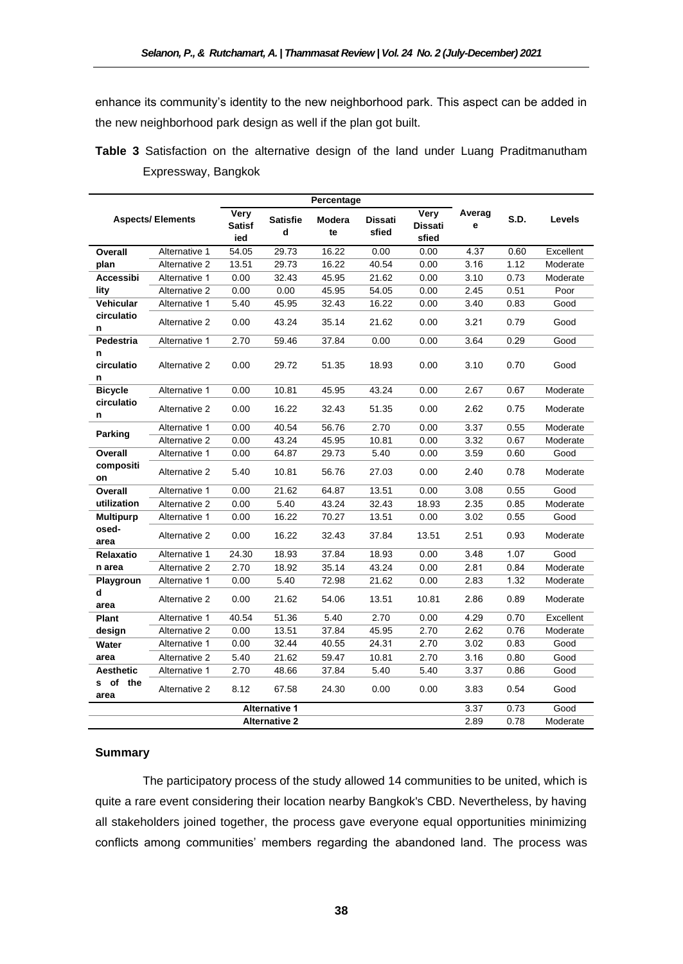enhance its community's identity to the new neighborhood park. This aspect can be added in the new neighborhood park design as well if the plan got built.

|                         | Percentage    |                              |                      |              |                         |                                 |             |      |           |
|-------------------------|---------------|------------------------------|----------------------|--------------|-------------------------|---------------------------------|-------------|------|-----------|
| <b>Aspects/Elements</b> |               | Very<br><b>Satisf</b><br>ied | <b>Satisfie</b><br>d | Modera<br>te | <b>Dissati</b><br>sfied | Very<br><b>Dissati</b><br>sfied | Averag<br>е | S.D. | Levels    |
| Overall                 | Alternative 1 | 54.05                        | 29.73                | 16.22        | 0.00                    | 0.00                            | 4.37        | 0.60 | Excellent |
| plan                    | Alternative 2 | 13.51                        | 29.73                | 16.22        | 40.54                   | 0.00                            | 3.16        | 1.12 | Moderate  |
| Accessibi               | Alternative 1 | 0.00                         | 32.43                | 45.95        | 21.62                   | 0.00                            | 3.10        | 0.73 | Moderate  |
| lity                    | Alternative 2 | 0.00                         | 0.00                 | 45.95        | 54.05                   | 0.00                            | 2.45        | 0.51 | Poor      |
| Vehicular               | Alternative 1 | 5.40                         | 45.95                | 32.43        | 16.22                   | 0.00                            | 3.40        | 0.83 | Good      |
| circulatio<br>n         | Alternative 2 | 0.00                         | 43.24                | 35.14        | 21.62                   | 0.00                            | 3.21        | 0.79 | Good      |
| Pedestria               | Alternative 1 | 2.70                         | 59.46                | 37.84        | 0.00                    | 0.00                            | 3.64        | 0.29 | Good      |
| n<br>circulatio<br>n    | Alternative 2 | 0.00                         | 29.72                | 51.35        | 18.93                   | 0.00                            | 3.10        | 0.70 | Good      |
| <b>Bicycle</b>          | Alternative 1 | 0.00                         | 10.81                | 45.95        | 43.24                   | 0.00                            | 2.67        | 0.67 | Moderate  |
| circulatio<br>n         | Alternative 2 | 0.00                         | 16.22                | 32.43        | 51.35                   | 0.00                            | 2.62        | 0.75 | Moderate  |
|                         | Alternative 1 | 0.00                         | 40.54                | 56.76        | 2.70                    | 0.00                            | 3.37        | 0.55 | Moderate  |
| Parking                 | Alternative 2 | 0.00                         | 43.24                | 45.95        | 10.81                   | 0.00                            | 3.32        | 0.67 | Moderate  |
| Overall                 | Alternative 1 | 0.00                         | 64.87                | 29.73        | 5.40                    | 0.00                            | 3.59        | 0.60 | Good      |
| compositi<br>on         | Alternative 2 | 5.40                         | 10.81                | 56.76        | 27.03                   | 0.00                            | 2.40        | 0.78 | Moderate  |
| Overall                 | Alternative 1 | 0.00                         | 21.62                | 64.87        | 13.51                   | 0.00                            | 3.08        | 0.55 | Good      |
| utilization             | Alternative 2 | 0.00                         | 5.40                 | 43.24        | 32.43                   | 18.93                           | 2.35        | 0.85 | Moderate  |
| <b>Multipurp</b>        | Alternative 1 | 0.00                         | 16.22                | 70.27        | 13.51                   | 0.00                            | 3.02        | 0.55 | Good      |
| osed-<br>area           | Alternative 2 | 0.00                         | 16.22                | 32.43        | 37.84                   | 13.51                           | 2.51        | 0.93 | Moderate  |
| Relaxatio               | Alternative 1 | 24.30                        | 18.93                | 37.84        | 18.93                   | 0.00                            | 3.48        | 1.07 | Good      |
| n area                  | Alternative 2 | 2.70                         | 18.92                | 35.14        | 43.24                   | 0.00                            | 2.81        | 0.84 | Moderate  |
| Playgroun               | Alternative 1 | 0.00                         | 5.40                 | 72.98        | 21.62                   | 0.00                            | 2.83        | 1.32 | Moderate  |
| d<br>area               | Alternative 2 | 0.00                         | 21.62                | 54.06        | 13.51                   | 10.81                           | 2.86        | 0.89 | Moderate  |
| <b>Plant</b>            | Alternative 1 | 40.54                        | 51.36                | 5.40         | 2.70                    | 0.00                            | 4.29        | 0.70 | Excellent |
| design                  | Alternative 2 | 0.00                         | 13.51                | 37.84        | 45.95                   | 2.70                            | 2.62        | 0.76 | Moderate  |
| Water                   | Alternative 1 | 0.00                         | 32.44                | 40.55        | 24.31                   | 2.70                            | 3.02        | 0.83 | Good      |
| area                    | Alternative 2 | 5.40                         | 21.62                | 59.47        | 10.81                   | 2.70                            | 3.16        | 0.80 | Good      |
| Aesthetic               | Alternative 1 | 2.70                         | 48.66                | 37.84        | 5.40                    | 5.40                            | 3.37        | 0.86 | Good      |
| of the<br>s.<br>area    | Alternative 2 | 8.12                         | 67.58                | 24.30        | 0.00                    | 0.00                            | 3.83        | 0.54 | Good      |
|                         |               |                              | <b>Alternative 1</b> |              |                         |                                 | 3.37        | 0.73 | Good      |
|                         |               |                              | <b>Alternative 2</b> |              |                         |                                 | 2.89        | 0.78 | Moderate  |

**Table 3** Satisfaction on the alternative design of the land under Luang Praditmanutham Expressway, Bangkok

# **Summary**

The participatory process of the study allowed 14 communities to be united, which is quite a rare event considering their location nearby Bangkok's CBD. Nevertheless, by having all stakeholders joined together, the process gave everyone equal opportunities minimizing conflicts among communities' members regarding the abandoned land. The process was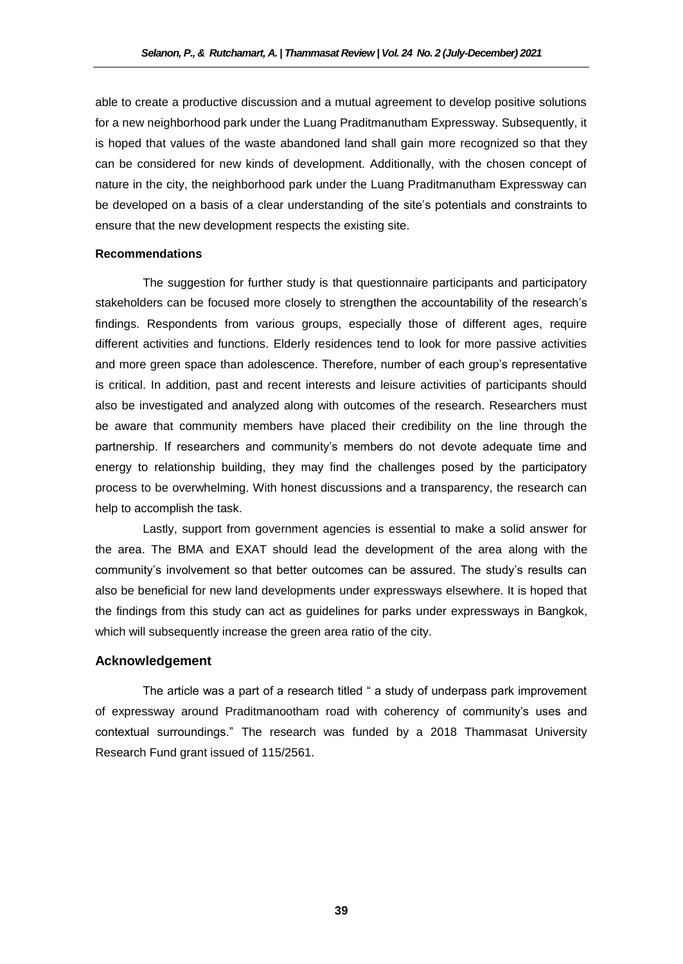able to create a productive discussion and a mutual agreement to develop positive solutions for a new neighborhood park under the Luang Praditmanutham Expressway. Subsequently, it is hoped that values of the waste abandoned land shall gain more recognized so that they can be considered for new kinds of development. Additionally, with the chosen concept of nature in the city, the neighborhood park under the Luang Praditmanutham Expressway can be developed on a basis of a clear understanding of the site's potentials and constraints to ensure that the new development respects the existing site.

#### **Recommendations**

The suggestion for further study is that questionnaire participants and participatory stakeholders can be focused more closely to strengthen the accountability of the research's findings. Respondents from various groups, especially those of different ages, require different activities and functions. Elderly residences tend to look for more passive activities and more green space than adolescence. Therefore, number of each group's representative is critical. In addition, past and recent interests and leisure activities of participants should also be investigated and analyzed along with outcomes of the research. Researchers must be aware that community members have placed their credibility on the line through the partnership. If researchers and community's members do not devote adequate time and energy to relationship building, they may find the challenges posed by the participatory process to be overwhelming. With honest discussions and a transparency, the research can help to accomplish the task.

Lastly, support from government agencies is essential to make a solid answer for the area. The BMA and EXAT should lead the development of the area along with the community's involvement so that better outcomes can be assured. The study's results can also be beneficial for new land developments under expressways elsewhere. It is hoped that the findings from this study can act as guidelines for parks under expressways in Bangkok, which will subsequently increase the green area ratio of the city.

# **Acknowledgement**

The article was a part of a research titled " a study of underpass park improvement of expressway around Praditmanootham road with coherency of community's uses and contextual surroundings." The research was funded by a 2018 Thammasat University Research Fund grant issued of 115/2561.